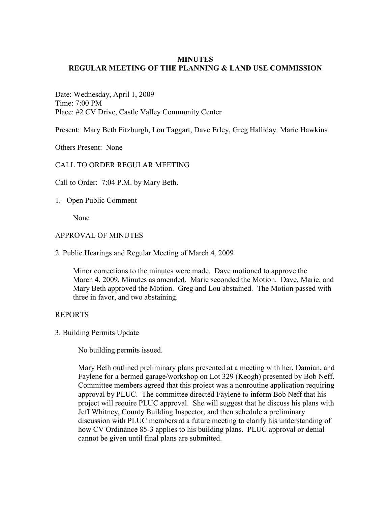### **MINUTES REGULAR MEETING OF THE PLANNING & LAND USE COMMISSION**

Date: Wednesday, April 1, 2009 Time: 7:00 PM Place: #2 CV Drive, Castle Valley Community Center

Present: Mary Beth Fitzburgh, Lou Taggart, Dave Erley, Greg Halliday. Marie Hawkins

Others Present: None

# CALL TO ORDER REGULAR MEETING

Call to Order: 7:04 P.M. by Mary Beth.

1. Open Public Comment

None

#### APPROVAL OF MINUTES

2. Public Hearings and Regular Meeting of March 4, 2009

 Minor corrections to the minutes were made. Dave motioned to approve the March 4, 2009, Minutes as amended. Marie seconded the Motion. Dave, Marie, and Mary Beth approved the Motion. Greg and Lou abstained. The Motion passed with three in favor, and two abstaining.

#### REPORTS

3. Building Permits Update

No building permits issued.

Mary Beth outlined preliminary plans presented at a meeting with her, Damian, and Faylene for a bermed garage/workshop on Lot 329 (Keogh) presented by Bob Neff. Committee members agreed that this project was a nonroutine application requiring approval by PLUC. The committee directed Faylene to inform Bob Neff that his project will require PLUC approval. She will suggest that he discuss his plans with Jeff Whitney, County Building Inspector, and then schedule a preliminary discussion with PLUC members at a future meeting to clarify his understanding of how CV Ordinance 85-3 applies to his building plans. PLUC approval or denial cannot be given until final plans are submitted.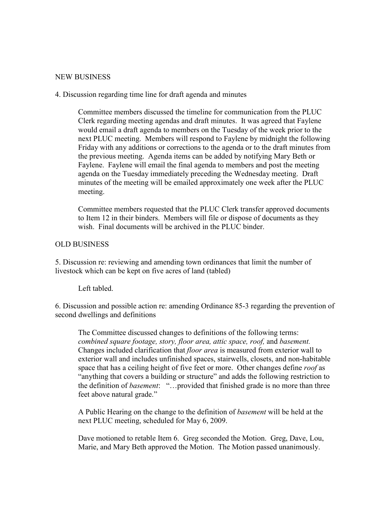#### NEW BUSINESS

### 4. Discussion regarding time line for draft agenda and minutes

Committee members discussed the timeline for communication from the PLUC Clerk regarding meeting agendas and draft minutes. It was agreed that Faylene would email a draft agenda to members on the Tuesday of the week prior to the next PLUC meeting. Members will respond to Faylene by midnight the following Friday with any additions or corrections to the agenda or to the draft minutes from the previous meeting. Agenda items can be added by notifying Mary Beth or Faylene. Faylene will email the final agenda to members and post the meeting agenda on the Tuesday immediately preceding the Wednesday meeting. Draft minutes of the meeting will be emailed approximately one week after the PLUC meeting.

Committee members requested that the PLUC Clerk transfer approved documents to Item 12 in their binders. Members will file or dispose of documents as they wish. Final documents will be archived in the PLUC binder.

#### OLD BUSINESS

5. Discussion re: reviewing and amending town ordinances that limit the number of livestock which can be kept on five acres of land (tabled)

Left tabled.

6. Discussion and possible action re: amending Ordinance 85-3 regarding the prevention of second dwellings and definitions

 The Committee discussed changes to definitions of the following terms: *combined square footage, story, floor area, attic space, roof,* and *basement.* Changes included clarification that *floor area* is measured from exterior wall to exterior wall and includes unfinished spaces, stairwells, closets, and non-habitable space that has a ceiling height of five feet or more. Other changes define *roof* as "anything that covers a building or structure" and adds the following restriction to the definition of *basement*: "…provided that finished grade is no more than three feet above natural grade."

A Public Hearing on the change to the definition of *basement* will be held at the next PLUC meeting, scheduled for May 6, 2009.

Dave motioned to retable Item 6. Greg seconded the Motion. Greg, Dave, Lou, Marie, and Mary Beth approved the Motion. The Motion passed unanimously.